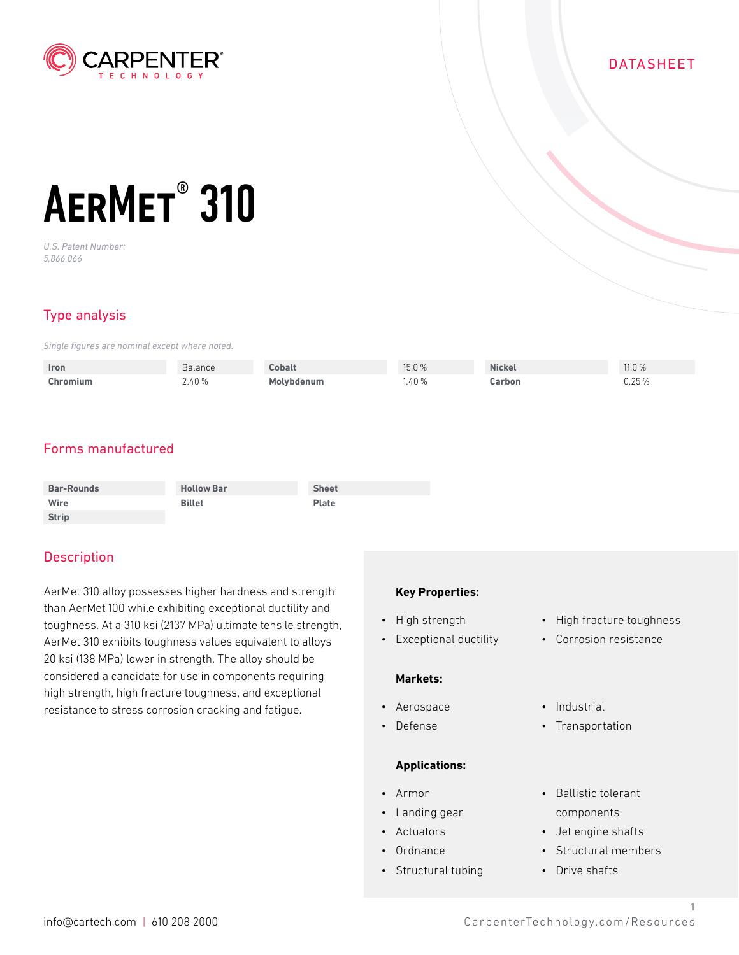

### DATASHEET

# AERMET<sup>®</sup> 310

*U.S. Patent Number: 5,866,066*

# Type analysis

*Single figures are nominal except where noted.*

| Iron     | Balance | <b>Cobalt</b>     | 15.0% | <b>Nickel</b> | 11.0 % |
|----------|---------|-------------------|-------|---------------|--------|
| Chromium | 2.40%   | <b>Molvbdenum</b> | 1.40% | Carbon        | 0.25%  |

# Forms manufactured

| <b>Bar-Rounds</b> | <b>Hollow Bar</b> | <b>Sheet</b> |
|-------------------|-------------------|--------------|
| Wire              | <b>Billet</b>     | <b>Plate</b> |
| <b>Strip</b>      |                   |              |

## **Description**

AerMet 310 alloy possesses higher hardness and strength than AerMet 100 while exhibiting exceptional ductility and toughness. At a 310 ksi (2137 MPa) ultimate tensile strength, AerMet 310 exhibits toughness values equivalent to alloys 20 ksi (138 MPa) lower in strength. The alloy should be considered a candidate for use in components requiring high strength, high fracture toughness, and exceptional resistance to stress corrosion cracking and fatigue.

#### **Key Properties:**

- High strength
- Exceptional ductility

#### **Markets:**

- Aerospace
- Defense

#### **Applications:**

- Armor
- Landing gear
- Actuators
- Ordnance
- Structural tubing
- High fracture toughness
- Corrosion resistance
- Industrial
- Transportation
- Ballistic tolerant components
- Jet engine shafts
- Structural members
- Drive shafts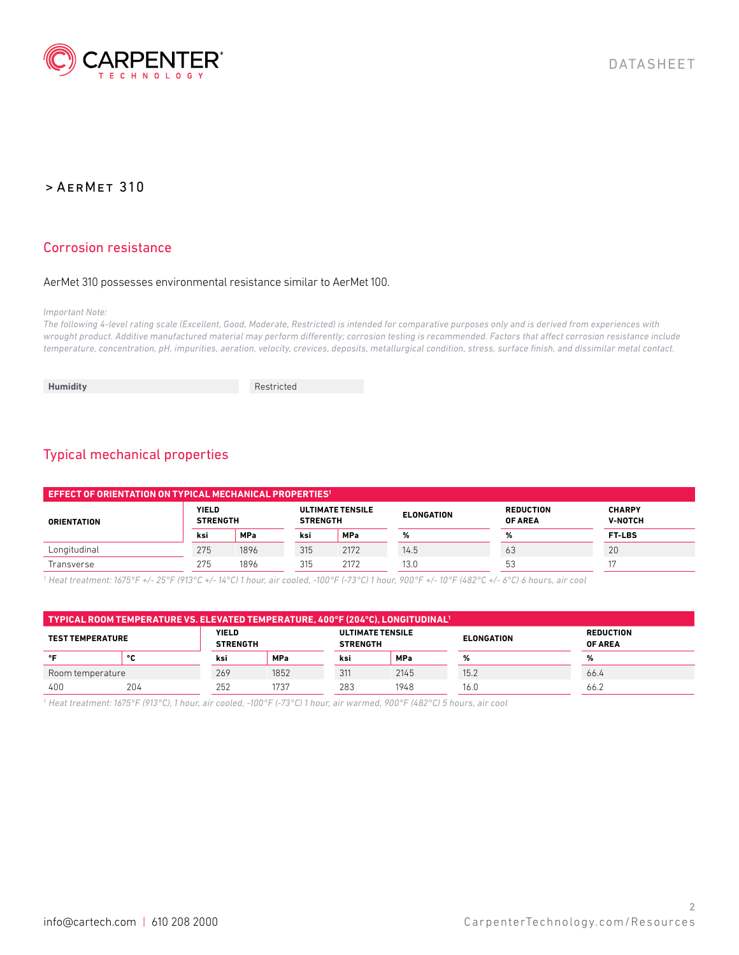

#### Corrosion resistance

#### AerMet 310 possesses environmental resistance similar to AerMet 100.

#### *Important Note:*

*The following 4-level rating scale (Excellent, Good, Moderate, Restricted) is intended for comparative purposes only and is derived from experiences with wrought product. Additive manufactured material may perform differently; corrosion testing is recommended. Factors that affect corrosion resistance include temperature, concentration, pH, impurities, aeration, velocity, crevices, deposits, metallurgical condition, stress, surface finish, and dissimilar metal contact.*

**Humidity** Restricted

# Typical mechanical properties

| $\blacksquare$ EFFECT OF ORIENTATION ON TYPICAL MECHANICAL PROPERTIES $\blacksquare$ |                                 |            |                                            |            |                   |                                    |                                 |
|--------------------------------------------------------------------------------------|---------------------------------|------------|--------------------------------------------|------------|-------------------|------------------------------------|---------------------------------|
| <b>ORIENTATION</b>                                                                   | <b>YIELD</b><br><b>STRENGTH</b> |            | <b>ULTIMATE TENSILE</b><br><b>STRENGTH</b> |            | <b>ELONGATION</b> | <b>REDUCTION</b><br><b>OF AREA</b> | <b>CHARPY</b><br><b>V-NOTCH</b> |
|                                                                                      | ksi                             | <b>MPa</b> | ksi                                        | <b>MPa</b> | %                 | %                                  | <b>FT-LBS</b>                   |
| Longitudinal                                                                         | 275                             | 1896       | 315                                        | 2172       | 14.5              | 63                                 | 20                              |
| Transverse                                                                           | 275                             | 1896       | 315                                        | 2172       | 13.0              | 53                                 |                                 |

*1 Heat treatment: 1675°F +/- 25°F (913°C +/- 14°C) 1 hour, air cooled, -100°F (-73°C) 1 hour, 900°F +/- 10°F (482°C +/- 6°C) 6 hours, air cool*

| TYPICAL ROOM TEMPERATURE VS. ELEVATED TEMPERATURE, 400°F (204°C), LONGITUDINAL' |     |                                 |            |                                            |            |                   |                                    |
|---------------------------------------------------------------------------------|-----|---------------------------------|------------|--------------------------------------------|------------|-------------------|------------------------------------|
| <b>TEST TEMPERATURE</b>                                                         |     | <b>YIELD</b><br><b>STRENGTH</b> |            | <b>ULTIMATE TENSILE</b><br><b>STRENGTH</b> |            | <b>ELONGATION</b> | <b>REDUCTION</b><br><b>OF AREA</b> |
| $^{\circ}$                                                                      | ۰c  | ksi                             | <b>MPa</b> | ksi                                        | <b>MPa</b> | %                 |                                    |
| Room temperature                                                                |     | 269                             | 1852       | 311                                        | 2145       | 15.2              | 66.4                               |
| 400                                                                             | 204 | 252                             | 1737       | 283                                        | 1948       | 16.G              | 66.2                               |

*1 Heat treatment: 1675°F (913°C), 1 hour, air cooled, -100°F (-73°C) 1 hour, air warmed, 900°F (482°C) 5 hours, air cool*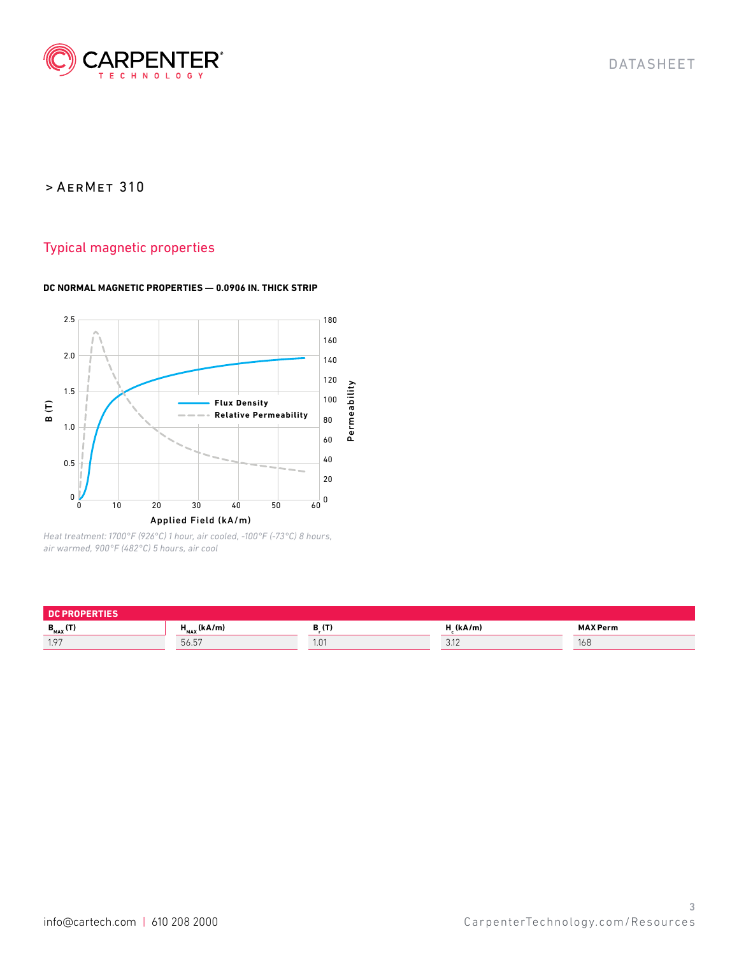

## Typical magnetic properties

#### **DC NORMAL MAGNETIC PROPERTIES — 0.0906 IN. THICK STRIP**



*Heat treatment: 1700°F (926°C) 1 hour, air cooled, -100°F (-73°C) 8 hours, air warmed, 900°F (482°C) 5 hours, air cool*

| <b>PROPERTIES</b><br><b>DC</b> |                  |         |              |                 |  |
|--------------------------------|------------------|---------|--------------|-----------------|--|
| $B_{MAX}$ (T)                  | $H_{MAX}$ (kA/m) | D.U.    | (kA/m)       | <b>MAX Perm</b> |  |
| 1.97                           | 56.57            | . . U 1 | 0.11<br>J.HL | 168             |  |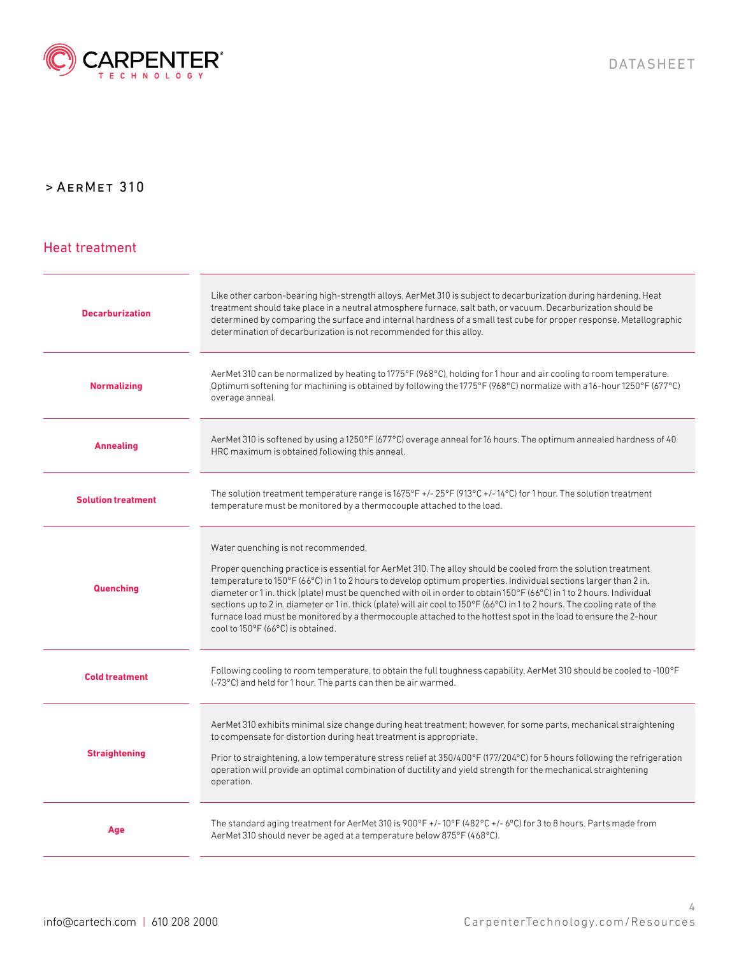

#### Heat treatment

| <b>Decarburization</b>    | Like other carbon-bearing high-strength alloys, AerMet 310 is subject to decarburization during hardening. Heat<br>treatment should take place in a neutral atmosphere furnace, salt bath, or vacuum. Decarburization should be<br>determined by comparing the surface and internal hardness of a small test cube for proper response. Metallographic<br>determination of decarburization is not recommended for this alloy.                                                                                                                                                                                                                                                            |
|---------------------------|-----------------------------------------------------------------------------------------------------------------------------------------------------------------------------------------------------------------------------------------------------------------------------------------------------------------------------------------------------------------------------------------------------------------------------------------------------------------------------------------------------------------------------------------------------------------------------------------------------------------------------------------------------------------------------------------|
| <b>Normalizing</b>        | AerMet 310 can be normalized by heating to 1775°F (968°C), holding for 1 hour and air cooling to room temperature.<br>Optimum softening for machining is obtained by following the 1775°F (968°C) normalize with a 16-hour 1250°F (677°C)<br>overage anneal.                                                                                                                                                                                                                                                                                                                                                                                                                            |
| <b>Annealing</b>          | AerMet 310 is softened by using a 1250°F (677°C) overage anneal for 16 hours. The optimum annealed hardness of 40<br>HRC maximum is obtained following this anneal.                                                                                                                                                                                                                                                                                                                                                                                                                                                                                                                     |
| <b>Solution treatment</b> | The solution treatment temperature range is $1675^{\circ}F + 1/25^{\circ}F$ (913°C +/-14°C) for 1 hour. The solution treatment<br>temperature must be monitored by a thermocouple attached to the load.                                                                                                                                                                                                                                                                                                                                                                                                                                                                                 |
| Quenching                 | Water quenching is not recommended.<br>Proper quenching practice is essential for AerMet 310. The alloy should be cooled from the solution treatment<br>temperature to 150°F (66°C) in 1 to 2 hours to develop optimum properties. Individual sections larger than 2 in.<br>diameter or 1 in. thick (plate) must be quenched with oil in order to obtain 150°F (66°C) in 1 to 2 hours. Individual<br>sections up to 2 in. diameter or 1 in. thick (plate) will air cool to 150°F (66°C) in 1 to 2 hours. The cooling rate of the<br>furnace load must be monitored by a thermocouple attached to the hottest spot in the load to ensure the 2-hour<br>cool to 150°F (66°C) is obtained. |
| <b>Cold treatment</b>     | Following cooling to room temperature, to obtain the full toughness capability, AerMet 310 should be cooled to -100°F<br>(-73°C) and held for 1 hour. The parts can then be air warmed.                                                                                                                                                                                                                                                                                                                                                                                                                                                                                                 |
| <b>Straightening</b>      | AerMet 310 exhibits minimal size change during heat treatment; however, for some parts, mechanical straightening<br>to compensate for distortion during heat treatment is appropriate.<br>Prior to straightening, a low temperature stress relief at 350/400°F (177/204°C) for 5 hours following the refrigeration<br>operation will provide an optimal combination of ductility and yield strength for the mechanical straightening<br>operation.                                                                                                                                                                                                                                      |
| Age                       | The standard aging treatment for AerMet 310 is 900°F +/-10°F (482°C +/-6°C) for 3 to 8 hours. Parts made from<br>AerMet 310 should never be aged at a temperature below 875°F (468°C).                                                                                                                                                                                                                                                                                                                                                                                                                                                                                                  |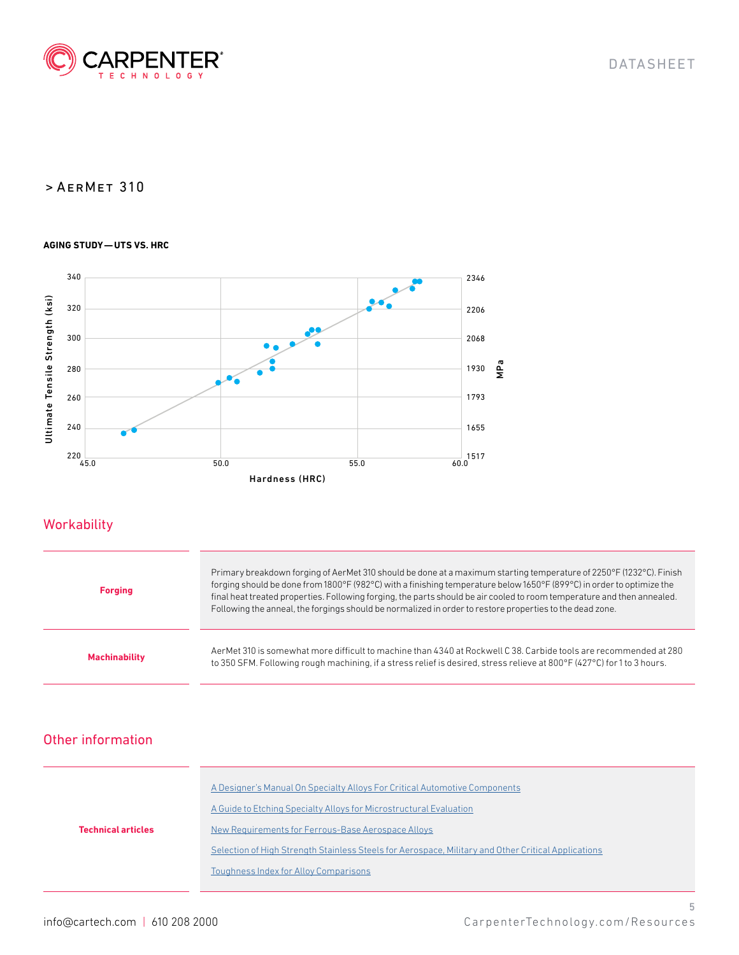

#### **AGING STUDY—UTS VS. HRC**



## **Workability**

| <b>Forging</b>       | Primary breakdown forging of AerMet 310 should be done at a maximum starting temperature of 2250°F (1232°C). Finish<br>forging should be done from 1800°F (982°C) with a finishing temperature below 1650°F (899°C) in order to optimize the<br>final heat treated properties. Following forging, the parts should be air cooled to room temperature and then annealed.<br>Following the anneal, the forgings should be normalized in order to restore properties to the dead zone. |
|----------------------|-------------------------------------------------------------------------------------------------------------------------------------------------------------------------------------------------------------------------------------------------------------------------------------------------------------------------------------------------------------------------------------------------------------------------------------------------------------------------------------|
| <b>Machinability</b> | AerMet 310 is somewhat more difficult to machine than 4340 at Rockwell C 38. Carbide tools are recommended at 280<br>to 350 SFM. Following rough machining, if a stress relief is desired, stress relieve at 800°F (427°C) for 1 to 3 hours.                                                                                                                                                                                                                                        |

## Other information

|                           | A Designer's Manual On Specialty Alloys For Critical Automotive Components                          |  |  |  |
|---------------------------|-----------------------------------------------------------------------------------------------------|--|--|--|
|                           | A Guide to Etching Specialty Alloys for Microstructural Evaluation                                  |  |  |  |
| <b>Technical articles</b> | New Requirements for Ferrous-Base Aerospace Alloys                                                  |  |  |  |
|                           | Selection of High Strength Stainless Steels for Aerospace, Military and Other Critical Applications |  |  |  |
|                           | Toughness Index for Alloy Comparisons                                                               |  |  |  |
|                           |                                                                                                     |  |  |  |